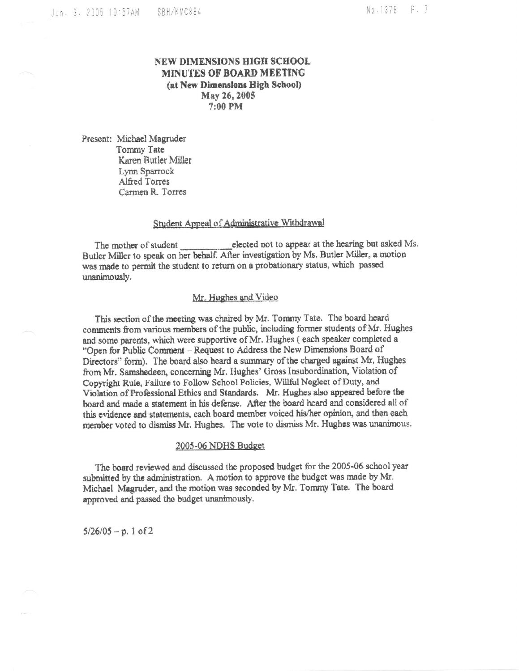# **NEW DIMENSIONS HIGH SCHOOL** MINUTES OF BOARD MEETING (at New Dimensions High School) May 26, 2005  $7:00$  PM

Present: Michael Magruder Tommy Tate Karen Butler Miller Lynn Sparrock Alfred Torres Carmen R. Torres

#### Student Appeal of Administrative Withdrawal

The mother of student elected not to appear at the hearing but asked Ms. Butler Miller to speak on her behalf. After investigation by Ms. Butler Miller, a motion was made to permit the student to return on a probationary status, which passed unanimously.

#### Mr. Hughes and Video

This section of the meeting was chaired by Mr. Tommy Tate. The board heard comments from various members of the public, including former students of Mr. Hughes and some parents, which were supportive of Mr. Hughes (each speaker completed a "Open for Public Comment - Request to Address the New Dimensions Board of Directors" form). The board also heard a summary of the charged against Mr. Hughes from Mr. Samshedeen, concerning Mr. Hughes' Gross Insubordination, Violation of Copyright Rule, Failure to Follow School Policies, Willful Neglect of Duty, and Violation of Professional Ethics and Standards. Mr. Hughes also appeared before the board and made a statement in his defense. After the board heard and considered all of this evidence and statements, each board member voiced his/her opinion, and then each member voted to dismiss Mr. Hughes. The vote to dismiss Mr. Hughes was unanimous.

### 2005-06 NDHS Budget

The board reviewed and discussed the proposed budget for the 2005-06 school year submitted by the administration. A motion to approve the budget was made by Mr. Michael Magruder, and the motion was seconded by Mr. Tommy Tate. The board approved and passed the budget unanimously.

 $5/26/05 - p.1$  of 2